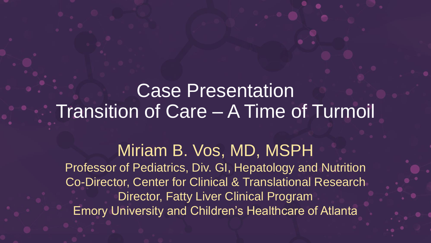### Case Presentation Transition of Care – A Time of Turmoil

Miriam B. Vos, MD, MSPH Professor of Pediatrics, Div. GI, Hepatology and Nutrition Co-Director, Center for Clinical & Translational Research Director, Fatty Liver Clinical Program Emory University and Children's Healthcare of Atlanta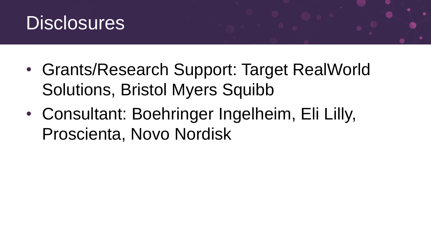

- Grants/Research Support: Target RealWorld Solutions, Bristol Myers Squibb
- Consultant: Boehringer Ingelheim, Eli Lilly, Proscienta, Novo Nordisk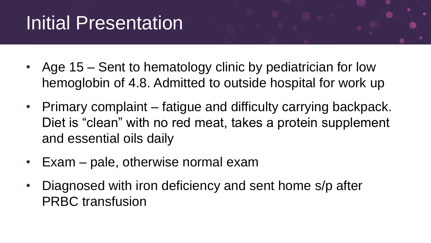# Initial Presentation

- Age 15 Sent to hematology clinic by pediatrician for low hemoglobin of 4.8. Admitted to outside hospital for work up
- Primary complaint fatigue and difficulty carrying backpack. Diet is "clean" with no red meat, takes a protein supplement and essential oils daily
- Exam pale, otherwise normal exam
- Diagnosed with iron deficiency and sent home s/p after PRBC transfusion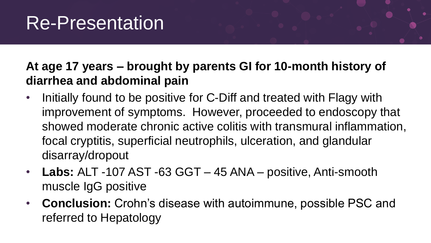### Re-Presentation

#### **At age 17 years – brought by parents GI for 10-month history of diarrhea and abdominal pain**

- Initially found to be positive for C-Diff and treated with Flagy with improvement of symptoms. However, proceeded to endoscopy that showed moderate chronic active colitis with transmural inflammation, focal cryptitis, superficial neutrophils, ulceration, and glandular disarray/dropout
- **Labs:** ALT -107 AST -63 GGT 45 ANA positive, Anti-smooth muscle IgG positive
- **Conclusion:** Crohn's disease with autoimmune, possible PSC and referred to Hepatology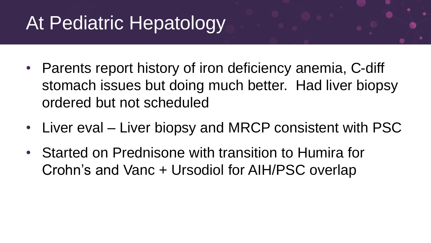# At Pediatric Hepatology

- Parents report history of iron deficiency anemia, C-diff stomach issues but doing much better. Had liver biopsy ordered but not scheduled
- Liver eval Liver biopsy and MRCP consistent with PSC
- Started on Prednisone with transition to Humira for Crohn's and Vanc + Ursodiol for AIH/PSC overlap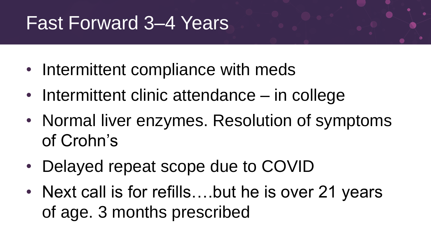### Fast Forward 3–4 Years

- Intermittent compliance with meds
- Intermittent clinic attendance in college
- Normal liver enzymes. Resolution of symptoms of Crohn's
- Delayed repeat scope due to COVID
- Next call is for refills....but he is over 21 years of age. 3 months prescribed